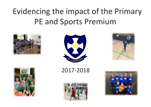## Evidencing the impact of the Primary PE and Sports Premium













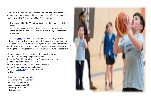Schools must use the funding to make **additional and sustainable**  improvements to the quality of PE and sport they offer. This means that you should use the Primary PE and Sport Premium to:

- develop or add to the PE and sport activities that your school already offers
- build capacity and capability within the school to ensure that improvements made now will benefit pupils joining the school in future years

Please visit [gov.uk](https://www.gov.uk/guidance/pe-and-sport-premium-for-primary-schools) for the revised DfE guidance including the 5 key indicators across which schools should demonstrate an improvement. This document will help you to review your provision and to report your spend. DfE encourages schools to use this template as an effective way of meeting the reporting requirements of the Primary PE and Sport Premium.

Schools should start by reflecting on the impact of current provision and reviewing the previous spend. Under the [Ofsted Schools Inspection Framework,](https://www.gov.uk/government/publications/school-inspection-handbook-from-september-2015) inspectors will assess how effectively leaders use the Primary PE and Sport Premium and measure its impact on outcomes for pupils, and how effectively [governors](https://www.gov.uk/government/publications/governance-handbook) hold them to account for this.

Schools are required to [publish](https://www.gov.uk/guidance/what-maintained-schools-must-publish-online#pe-and-sport-premium-for-primary-schools) [details](https://www.gov.uk/guidance/what-maintained-schools-must-publish-online#pe-and-sport-premium-for-primary-schools) of how they spend this funding as well as on the impact it has on pupils' PE and sport participation and attainment.

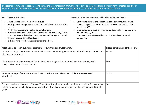Support for review and reflection - considering the 5 key indicators from DfE, what development needs are a priority for your setting and your students now and why? Use the space below to reflect on previous spend, identify current need and priorities for the future.

| Key achievements to date:                                             | Areas for further improvement and baseline evidence of need:          |  |  |
|-----------------------------------------------------------------------|-----------------------------------------------------------------------|--|--|
| School Games Mark - Gold level achieved                               | Continue to develop the assessment of PE throughout the school.       |  |  |
| Participation in competitive events through Catholic Cluster and City | Create change4life clubs to target non active or less active children |  |  |
| events.                                                               | $\bullet$                                                             |  |  |
| All children partaking in Healthy Schools festivals.                  | and girls in KS2.                                                     |  |  |
| Increased links with Sports clubs - Team Gosforth, Lee Sterry Sports  | Ensure children are active for 30 mins a day in school - embed in PE  |  |  |
| Coaching, Newcastle Eagles, JCS Gymnastics and Westgate Judo club.    | lessons and playtimes.                                                |  |  |
| Greater focus on School Sports day                                    | Ensure equipment is available to teach a broad and balanced           |  |  |
| Inclusion for all children in sports across the school.               | curriculum.                                                           |  |  |

| Meeting national curriculum requirements for swimming and water safety                                                                                                                                                         | Please complete all of the below: |
|--------------------------------------------------------------------------------------------------------------------------------------------------------------------------------------------------------------------------------|-----------------------------------|
| What percentage of your current Year 6 cohort swim competently, confidently and proficiently over a distance 96.7%<br>of at least 25 metres?                                                                                   |                                   |
| What percentage of your current Year 6 cohort use a range of strokes effectively (for example, front<br>crawl, backstroke and breaststroke]?                                                                                   | 90%                               |
| What percentage of your current Year 6 cohort perform safe self-rescue in different water-based<br>situations?                                                                                                                 | 73.3%                             |
| Schools can choose to use the Primary PE and Sport Premium to provide additional provision for swimming<br>but this must be for activity over and above the national curriculum requirements. Have you used it in this<br>way? | Yes                               |



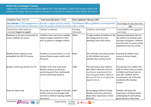## **Action Plan and Budget Tracking**

Capture your intended annual spend against the 5 key indicators. Clarify the success criteria and evidence of impact that you intend to measure to evaluate for students today and for the future.

| Total fund allocated: £17800                                                                                                                                                                                                                                  | Date Updated: February 2017 |                                                                                                                                                                                      |                                                                                                                                                                                                        |  |
|---------------------------------------------------------------------------------------------------------------------------------------------------------------------------------------------------------------------------------------------------------------|-----------------------------|--------------------------------------------------------------------------------------------------------------------------------------------------------------------------------------|--------------------------------------------------------------------------------------------------------------------------------------------------------------------------------------------------------|--|
| Key indicator 1: The engagement of all pupils in regular physical activity - Chief Medical Officer guidelines recommend that<br>Percentage of total allocation:<br>primary school children undertake at least 30 minutes of physical activity a day in school |                             |                                                                                                                                                                                      |                                                                                                                                                                                                        |  |
| Actions to achieve:                                                                                                                                                                                                                                           | Funding<br>allocated:       | Evidence and impact:                                                                                                                                                                 | Sustainability and suggested<br>next steps:                                                                                                                                                            |  |
| Children from Year 6 (on a weekly<br>rota) to support playtimes in KS1<br>and run games to engage children.                                                                                                                                                   | None                        | A high number of children in the<br>KS1 playground are now<br>spending time more active.                                                                                             | Develop leadership roles for<br>the children to develop more<br>activities and games. Infiltrate<br>into KS2 yard, to ensure active<br>playtimes across the school.                                    |  |
| Teachers to ensure there is a 5-10<br>minute fitness session within each<br>PE lesson.                                                                                                                                                                        | None                        | This will help raise fitness levels<br>in KS2 children and count<br>towards their activity levels.                                                                                   | Ensuring all children have<br>access to fitness based<br>sessions.                                                                                                                                     |  |
| Children from Year 6 will have<br>booster sessions at the local<br>swimming pool (Over and beyond<br>normal swimming sessions)                                                                                                                                | £365                        | This will ensure that children<br>who didn't meet the national<br>curriculum requirements for<br>swimming and water safety at<br>the end of Year 4, are given the<br>opportunity to. | This will give the children life<br>skills to ensure they are water<br>confident and know how to<br>stay safe. Children will be<br>monitored to see if all meet<br>standards after booster<br>session. |  |
| healthy schools and change 4 life<br>and active.                                                                                                                                                                                                              |                             | Encouraging children to keep<br>healthy and active and show<br>them their importance in their<br>daily life.                                                                         | Children will know the<br>importance of being healthy<br>and keeping fit and making<br>good choices in their lives.                                                                                    |  |
|                                                                                                                                                                                                                                                               |                             | Disco day to encourage to link with $\vert$ £180<br>and link to children keeping healthy                                                                                             |                                                                                                                                                                                                        |  |



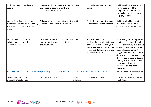| Maths equipment to aid active<br>llessons.                                                                               | Children will be more active within<br>their lessons, adding towards their                         | £319.60               | This will make lessons more<br>active.                                                                                                                                                             | Children will be sitting still less<br>during lessons and the                                                                                                                                                                                                                                                                                                                            |
|--------------------------------------------------------------------------------------------------------------------------|----------------------------------------------------------------------------------------------------|-----------------------|----------------------------------------------------------------------------------------------------------------------------------------------------------------------------------------------------|------------------------------------------------------------------------------------------------------------------------------------------------------------------------------------------------------------------------------------------------------------------------------------------------------------------------------------------------------------------------------------------|
|                                                                                                                          | active 30 minutes a day.                                                                           |                       |                                                                                                                                                                                                    | equipment will make it easier<br>for teachers to plan active and<br>engaging lessons.                                                                                                                                                                                                                                                                                                    |
| Support for children to attend<br>outdoor and adventurous activities,<br>lto ensure all children are able to<br>lattend. | Children will all be able to take part £1050<br>in outdoor and adventurous activity.               |                       | All children will have the chance<br>to partake and experience OAA.                                                                                                                                | Children will all be given the<br>chance to partake, while<br>experiencing something new.                                                                                                                                                                                                                                                                                                |
| Remark the KS2 playground to<br>include markings for different<br>sporting events.                                       | Head teacher and PE Coordinator to E3100<br>monitor funding and get quotes for<br>the resurfacing. |                       | Will lead to increased<br>participation, the ability to host<br>inter-school competitions, (Eg.<br>Basketball, Netball and Hockey)<br>raised activity levels and raised<br>positivity about sport. | By retaining this money, as part<br>of a three year plan, this will<br>ensure that moving forward, St<br>Oswald's can provide a varied<br>range of sports, have active<br>playgrounds and provide more<br>clubs. This will allow us to keep<br>children active beyond 2020, if<br>funding was to cease. (Funding<br>being sought from other<br>sources to try and decrease<br>timescale) |
| Key indicator 2: The profile of PE and sport being raised across the school as a tool for whole school improvement       | Percentage of total allocation:                                                                    |                       |                                                                                                                                                                                                    |                                                                                                                                                                                                                                                                                                                                                                                          |
|                                                                                                                          |                                                                                                    |                       |                                                                                                                                                                                                    | 7%                                                                                                                                                                                                                                                                                                                                                                                       |
| School focus with clarity on<br>intended impact on pupils:                                                               | Actions to achieve:                                                                                | Funding<br>allocated: | Evidence and impact:                                                                                                                                                                               | Sustainability and suggested<br>next steps:                                                                                                                                                                                                                                                                                                                                              |



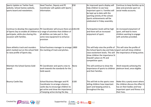| Sports Update on Twitter feed,                                                    | Head Teacher, Deputy and PE               | £50  | An improved sports display will                                           | Continue to keep families up to    |
|-----------------------------------------------------------------------------------|-------------------------------------------|------|---------------------------------------------------------------------------|------------------------------------|
| website, School Games website,                                                    | Coordinator will update with Sports       |      | help children to see how                                                  | date and promote sport on          |
| sports board and newsletters.                                                     | linformation.                             |      | important sport is. Families will                                         | social media accounts.             |
|                                                                                   |                                           |      | be kept up to date with the                                               |                                    |
|                                                                                   |                                           |      | sporting activity of the school.                                          |                                    |
|                                                                                   |                                           |      | Sports achievements will be                                               |                                    |
|                                                                                   |                                           |      | celebrated in Friday assembly.                                            |                                    |
| Continue to develop the organization PE Coordinator will ensure there are £263.90 |                                           |      | Participation levels will be high                                         | An increased enjoyment of          |
| of Sports Day to enable all children to a range of activities that children of    |                                           |      | and there will an increased                                               | sport, will lead to more           |
| participate, while also sharing this                                              | all abilities can take part in. Buy       |      | enjoyment of sport.                                                       | children wanting to engage         |
| loccasion with families.                                                          | some new equipment to enhance             |      |                                                                           | with activities provided.          |
|                                                                                   | provision                                 |      |                                                                           |                                    |
|                                                                                   |                                           |      |                                                                           |                                    |
| Have athletics track and rounders                                                 | School business manager to arrange   £800 |      | This will help raise the profile of $\ $ This will raise the profile of   |                                    |
| pitch marked out on the school field                                              | the marking of track and pitches.         |      | the School Sports day and help tosport and will show children             |                                    |
| to raise profile of Sports day.                                                   |                                           |      | $r$ aise excitement levels. This will $r$ the importance of being active. |                                    |
|                                                                                   |                                           |      | show children the importance St                                           |                                    |
|                                                                                   |                                           |      | Oswald's place on PE and                                                  |                                    |
|                                                                                   |                                           |      | competitive sport.                                                        |                                    |
| Maintain the School Games Gold                                                    | PE Coordinator and sports crew to         | None | This will continue to show the                                            | Work towards achieving the         |
| award.                                                                            | work towards the standards for the        |      | importance of sports to children                                          | platinum level, once eligible.     |
|                                                                                   | Gold award.                               |      | and their families.                                                       |                                    |
|                                                                                   |                                           |      |                                                                           |                                    |
| Bouncy Castle Day                                                                 | School Business Manager and PE            | £100 | This will link to the sports crew                                         | Make this a yearly event where     |
|                                                                                   | Coordinator to arrange a bouncy           |      | telling children how important                                            | the children discuss the effect it |
|                                                                                   | castle day to encourage children to       |      | sport and keeping active is,                                              | has on their bodies and how        |
|                                                                                   | get active and show the importance        |      | throughout the day.                                                       | important sport and fitness is in  |
|                                                                                   | of keeping active during the day.         |      |                                                                           | their lives.                       |

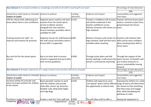| Key indicator 3: Increased confidence, knowledge and skills of all staff in teaching PE and sport |                                                                                                                                                                                                                  |                       |                                                                                                                                                                                                  | Percentage of total allocation:                                                                                                                   |  |
|---------------------------------------------------------------------------------------------------|------------------------------------------------------------------------------------------------------------------------------------------------------------------------------------------------------------------|-----------------------|--------------------------------------------------------------------------------------------------------------------------------------------------------------------------------------------------|---------------------------------------------------------------------------------------------------------------------------------------------------|--|
|                                                                                                   |                                                                                                                                                                                                                  |                       |                                                                                                                                                                                                  | 20%                                                                                                                                               |  |
| School focus with clarity on intended Actions to achieve:<br>impact on pupils:                    |                                                                                                                                                                                                                  | Funding<br>allocated: | Evidence and impact:                                                                                                                                                                             | Sustainability and suggested<br>next steps:                                                                                                       |  |
| CPD for school staff, addressing any<br>areas where there is less confidence.                     | Organise sports coaches and extra $\vert$ £1310<br>sessions from the school sports<br>service to deliver sessions<br>alongside the class teachers.<br>Ensure training is provided, where<br>available for staff. |                       | Teacher's confidence will increase Teacher will have lesson plans<br>and will be evidenced in the<br>teacher confidence survey.<br>Delivery of lessons will remain at a years.<br>high standard. | and/or a scheme to plan from,<br>going forward into future                                                                                        |  |
| Training sessions for staff $-$ to<br>improve and enhance PE provision                            | Organise courses for staff based on £400<br>the staff survey and where need is.<br>Ensure NQT is supported.                                                                                                      |                       | Delivery of lessons will remain at a Teachers will enhance their<br>high standard. Staff will feel more skills and be more confident<br>confident when teaching.                                 | when teaching these skills in<br>future years.                                                                                                    |  |
| Buy into SLA for the school sports<br>service.                                                    | Buy in at silver level to ensure<br>school is supported and up to date<br>with current guidelines.                                                                                                               | £1850                 | Through action plans and half<br>termly meetings, it will ensure the sports service, St Oswald's will<br>school is continuously improving.                                                       | Through the support of the<br>put in place measures to<br>ensure sustainability moving<br>forward.                                                |  |
| Key indicator 4: Broader experience of a range of sports and activities offered to all pupils     |                                                                                                                                                                                                                  |                       |                                                                                                                                                                                                  | Percentage of total allocation:                                                                                                                   |  |
| School focus with clarity on intended Actions to achieve:                                         |                                                                                                                                                                                                                  | Funding               |                                                                                                                                                                                                  | 21%<br>Sustainability and suggested                                                                                                               |  |
| impact on pupils:                                                                                 |                                                                                                                                                                                                                  | allocated:            | Evidence and impact:                                                                                                                                                                             | next steps:                                                                                                                                       |  |
| Increase variety of curricular and<br>extra curricular activities for children<br>in the school.  | Book specialist coaches to work<br>with the children and provide<br>clubs after school. Eg. American<br>football, Judo, Newcastle Eagles<br>and Yoga Bugs.                                                       | £1910                 | Children will experience some<br>'non typical' sports and be offered range of sports will allow them<br>the opportunity to attend clubs.                                                         | Exposing the children to a wide<br>the chance to find something<br>that they enjoy and engage<br>with, while developing the<br>pathways to clubs. |  |
| Purchase a range of equipment                                                                     | Create a 'wish list' from staff and                                                                                                                                                                              | £1850                 | This will allow staff to offer a                                                                                                                                                                 | Having the equipment in                                                                                                                           |  |
| Created by:<br>Physical<br><i>Physical</i>                                                        | YOUTH<br>Supported by: $\sqrt[n]{\frac{1}{N}} \frac{\sqrt[n]{\frac{1}{N}}}{\sqrt[n]{N}}$ $\frac{1}{N}$ COACHING $\frac{1}{N}$<br>SPORT<br>TRUST                                                                  |                       |                                                                                                                                                                                                  |                                                                                                                                                   |  |